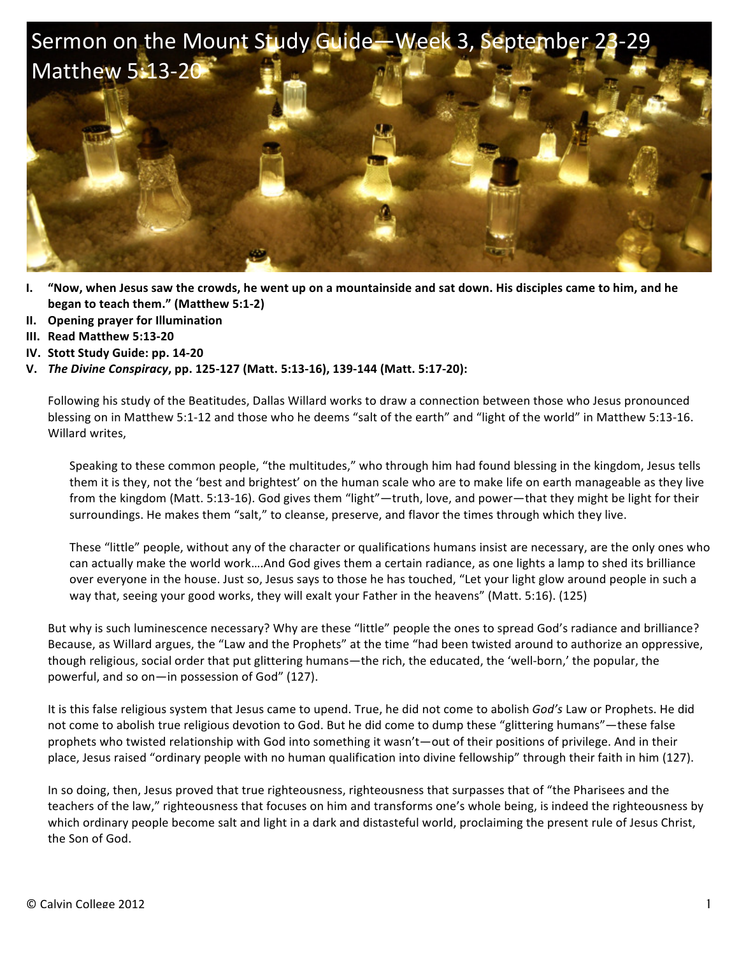

- **I.** "Now, when Jesus saw the crowds, he went up on a mountainside and sat down. His disciples came to him, and he **began to teach them."** (Matthew 5:1-2)
- **II. Opening prayer for Illumination**
- **III. Read Matthew 5:13-20**
- **IV.** Stott Study Guide: pp. 14-20
- **V.** *The Divine Conspiracy***, pp. 125-127 (Matt. 5:13-16), 139-144 (Matt. 5:17-20):**

Following his study of the Beatitudes, Dallas Willard works to draw a connection between those who Jesus pronounced blessing on in Matthew 5:1-12 and those who he deems "salt of the earth" and "light of the world" in Matthew 5:13-16. Willard writes,

Speaking to these common people, "the multitudes," who through him had found blessing in the kingdom, Jesus tells them it is they, not the 'best and brightest' on the human scale who are to make life on earth manageable as they live from the kingdom (Matt. 5:13-16). God gives them "light"—truth, love, and power—that they might be light for their surroundings. He makes them "salt," to cleanse, preserve, and flavor the times through which they live.

These "little" people, without any of the character or qualifications humans insist are necessary, are the only ones who can actually make the world work....And God gives them a certain radiance, as one lights a lamp to shed its brilliance over everyone in the house. Just so, Jesus says to those he has touched, "Let your light glow around people in such a way that, seeing your good works, they will exalt your Father in the heavens" (Matt. 5:16). (125)

But why is such luminescence necessary? Why are these "little" people the ones to spread God's radiance and brilliance? Because, as Willard argues, the "Law and the Prophets" at the time "had been twisted around to authorize an oppressive, though religious, social order that put glittering humans—the rich, the educated, the 'well-born,' the popular, the powerful, and so on—in possession of God" (127).

It is this false religious system that Jesus came to upend. True, he did not come to abolish *God's* Law or Prophets. He did not come to abolish true religious devotion to God. But he did come to dump these "glittering humans"—these false prophets who twisted relationship with God into something it wasn't—out of their positions of privilege. And in their place, Jesus raised "ordinary people with no human qualification into divine fellowship" through their faith in him (127).

In so doing, then, Jesus proved that true righteousness, righteousness that surpasses that of "the Pharisees and the teachers of the law," righteousness that focuses on him and transforms one's whole being, is indeed the righteousness by which ordinary people become salt and light in a dark and distasteful world, proclaiming the present rule of Jesus Christ, the Son of God.